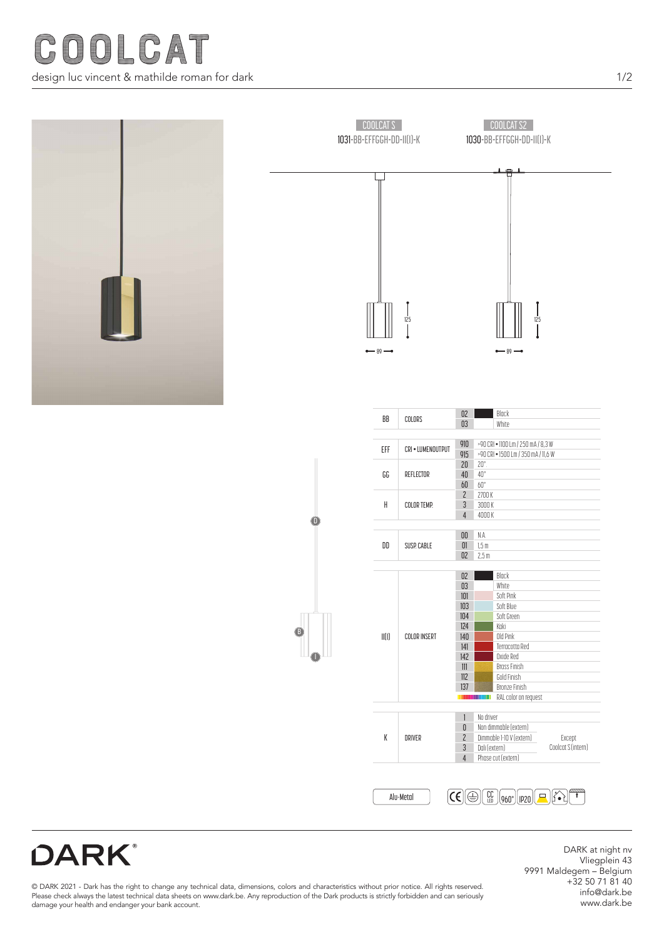



**DARK®** 

DARK at night nv Vliegplein 43 9991 Maldegem – Belgium +32 50 71 81 40 info@dark.be www.dark.be

© DARK 2021 - Dark has the right to change any technical data, dimensions, colors and characteristics without prior notice. All rights reserved. Please check always the latest technical data sheets on www.dark.be. Any reproduction of the Dark products is strictly forbidden and can seriously damage your health and endanger your bank account.